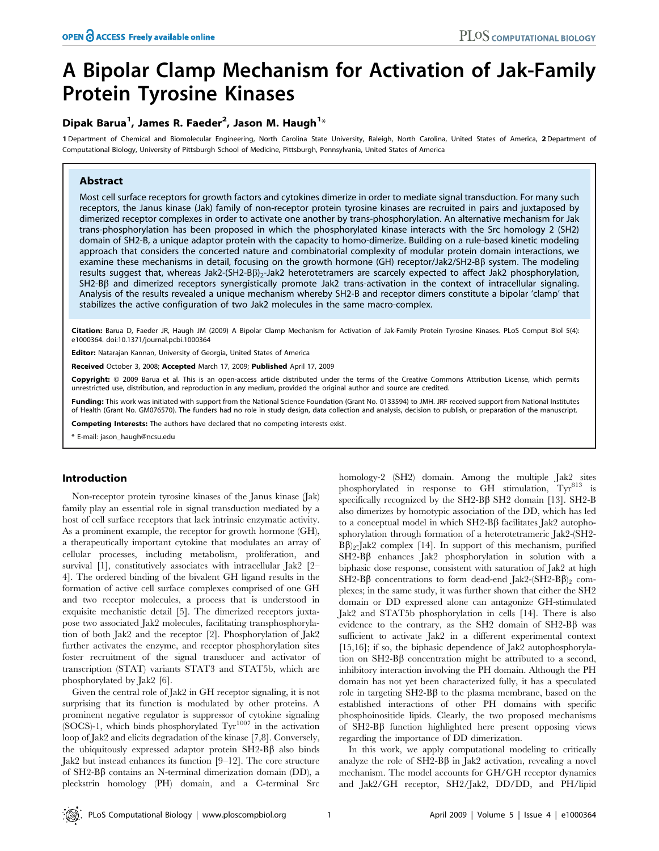# A Bipolar Clamp Mechanism for Activation of Jak-Family Protein Tyrosine Kinases

# Dipak Barua<sup>1</sup>, James R. Faeder<sup>2</sup>, Jason M. Haugh<sup>1</sup>\*

1 Department of Chemical and Biomolecular Engineering, North Carolina State University, Raleigh, North Carolina, United States of America, 2 Department of Computational Biology, University of Pittsburgh School of Medicine, Pittsburgh, Pennsylvania, United States of America

# Abstract

Most cell surface receptors for growth factors and cytokines dimerize in order to mediate signal transduction. For many such receptors, the Janus kinase (Jak) family of non-receptor protein tyrosine kinases are recruited in pairs and juxtaposed by dimerized receptor complexes in order to activate one another by trans-phosphorylation. An alternative mechanism for Jak trans-phosphorylation has been proposed in which the phosphorylated kinase interacts with the Src homology 2 (SH2) domain of SH2-B, a unique adaptor protein with the capacity to homo-dimerize. Building on a rule-based kinetic modeling approach that considers the concerted nature and combinatorial complexity of modular protein domain interactions, we examine these mechanisms in detail, focusing on the growth hormone (GH) receptor/Jak2/SH2-Bß system. The modeling results suggest that, whereas Jak2-(SH2-Bß)<sub>2</sub>-Jak2 heterotetramers are scarcely expected to affect Jak2 phosphorylation, SH2-Bb and dimerized receptors synergistically promote Jak2 trans-activation in the context of intracellular signaling. Analysis of the results revealed a unique mechanism whereby SH2-B and receptor dimers constitute a bipolar 'clamp' that stabilizes the active configuration of two Jak2 molecules in the same macro-complex.

Citation: Barua D, Faeder JR, Haugh JM (2009) A Bipolar Clamp Mechanism for Activation of Jak-Family Protein Tyrosine Kinases. PLoS Comput Biol 5(4): e1000364. doi:10.1371/journal.pcbi.1000364

Editor: Natarajan Kannan, University of Georgia, United States of America

Received October 3, 2008; Accepted March 17, 2009; Published April 17, 2009

Copyright: @ 2009 Barua et al. This is an open-access article distributed under the terms of the Creative Commons Attribution License, which permits unrestricted use, distribution, and reproduction in any medium, provided the original author and source are credited.

Funding: This work was initiated with support from the National Science Foundation (Grant No. 0133594) to JMH. JRF received support from National Institutes of Health (Grant No. GM076570). The funders had no role in study design, data collection and analysis, decision to publish, or preparation of the manuscript.

Competing Interests: The authors have declared that no competing interests exist.

\* E-mail: jason\_haugh@ncsu.edu

# Introduction

Non-receptor protein tyrosine kinases of the Janus kinase (Jak) family play an essential role in signal transduction mediated by a host of cell surface receptors that lack intrinsic enzymatic activity. As a prominent example, the receptor for growth hormone (GH), a therapeutically important cytokine that modulates an array of cellular processes, including metabolism, proliferation, and survival [1], constitutively associates with intracellular Jak2 [2– 4]. The ordered binding of the bivalent GH ligand results in the formation of active cell surface complexes comprised of one GH and two receptor molecules, a process that is understood in exquisite mechanistic detail [5]. The dimerized receptors juxtapose two associated Jak2 molecules, facilitating transphosphorylation of both Jak2 and the receptor [2]. Phosphorylation of Jak2 further activates the enzyme, and receptor phosphorylation sites foster recruitment of the signal transducer and activator of transcription (STAT) variants STAT3 and STAT5b, which are phosphorylated by Jak2 [6].

Given the central role of Jak2 in GH receptor signaling, it is not surprising that its function is modulated by other proteins. A prominent negative regulator is suppressor of cytokine signaling  $(SOCS)-1$ , which binds phosphorylated  $Tyr^{1007}$  in the activation loop of Jak2 and elicits degradation of the kinase [7,8]. Conversely, the ubiquitously expressed adaptor protein  $SH2-B\beta$  also binds Jak2 but instead enhances its function [9–12]. The core structure of SH2-B $\beta$  contains an N-terminal dimerization domain (DD), a pleckstrin homology (PH) domain, and a C-terminal Src homology-2 (SH2) domain. Among the multiple Jak2 sites phosphorylated in response to GH stimulation,  $\text{Ty}^{813}$  is specifically recognized by the  $SH2-B\beta$  SH2 domain [13]. SH2-B also dimerizes by homotypic association of the DD, which has led to a conceptual model in which  $SH2-B\beta$  facilitates Jak2 autophosphorylation through formation of a heterotetrameric Jak2-(SH2-  $B\beta$ <sub>2</sub>-Jak2 complex [14]. In support of this mechanism, purified SH2-Bb enhances Jak2 phosphorylation in solution with a biphasic dose response, consistent with saturation of Jak2 at high SH2-B $\beta$  concentrations to form dead-end Jak2-(SH2-B $\beta$ )<sub>2</sub> complexes; in the same study, it was further shown that either the SH2 domain or DD expressed alone can antagonize GH-stimulated Jak2 and STAT5b phosphorylation in cells [14]. There is also evidence to the contrary, as the SH2 domain of  $SH2-B\beta$  was sufficient to activate Jak2 in a different experimental context [15,16]; if so, the biphasic dependence of Jak2 autophosphorylation on SH2-Bβ concentration might be attributed to a second, inhibitory interaction involving the PH domain. Although the PH domain has not yet been characterized fully, it has a speculated role in targeting  $SH2-B\beta$  to the plasma membrane, based on the established interactions of other PH domains with specific phosphoinositide lipids. Clearly, the two proposed mechanisms of SH2-Bb function highlighted here present opposing views regarding the importance of DD dimerization.

In this work, we apply computational modeling to critically analyze the role of  $SH2-B\beta$  in Jak2 activation, revealing a novel mechanism. The model accounts for GH/GH receptor dynamics and Jak2/GH receptor, SH2/Jak2, DD/DD, and PH/lipid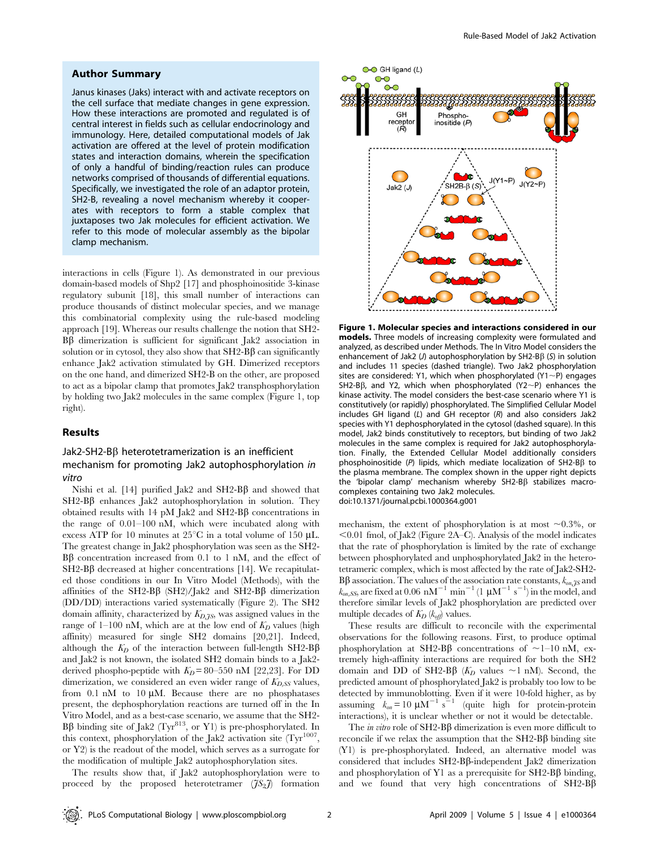## Author Summary

Janus kinases (Jaks) interact with and activate receptors on the cell surface that mediate changes in gene expression. How these interactions are promoted and regulated is of central interest in fields such as cellular endocrinology and immunology. Here, detailed computational models of Jak activation are offered at the level of protein modification states and interaction domains, wherein the specification of only a handful of binding/reaction rules can produce networks comprised of thousands of differential equations. Specifically, we investigated the role of an adaptor protein, SH2-B, revealing a novel mechanism whereby it cooperates with receptors to form a stable complex that juxtaposes two Jak molecules for efficient activation. We refer to this mode of molecular assembly as the bipolar clamp mechanism.

interactions in cells (Figure 1). As demonstrated in our previous domain-based models of Shp2 [17] and phosphoinositide 3-kinase regulatory subunit [18], this small number of interactions can produce thousands of distinct molecular species, and we manage this combinatorial complexity using the rule-based modeling approach [19]. Whereas our results challenge the notion that SH2- Bb dimerization is sufficient for significant Jak2 association in solution or in cytosol, they also show that  $SH2-B\beta$  can significantly enhance Jak2 activation stimulated by GH. Dimerized receptors on the one hand, and dimerized SH2-B on the other, are proposed to act as a bipolar clamp that promotes Jak2 transphosphorylation by holding two Jak2 molecules in the same complex (Figure 1, top right).

## Results

# Jak2-SH2-B $\beta$  heterotetramerization is an inefficient mechanism for promoting Jak2 autophosphorylation in vitro

Nishi et al. [14] purified Jak2 and SH2-B $\beta$  and showed that  $SH2-B\beta$  enhances Jak2 autophosphorylation in solution. They obtained results with 14 pM Jak2 and  $SH2-B\beta$  concentrations in the range of 0.01–100 nM, which were incubated along with excess ATP for 10 minutes at  $25^{\circ}$ C in a total volume of 150  $\mu$ L. The greatest change in Jak2 phosphorylation was seen as the SH2-  $B\beta$  concentration increased from 0.1 to 1 nM, and the effect of  $SH2-B\beta$  decreased at higher concentrations [14]. We recapitulated those conditions in our In Vitro Model (Methods), with the affinities of the SH2-B $\beta$  (SH2)/Jak2 and SH2-B $\beta$  dimerization (DD/DD) interactions varied systematically (Figure 2). The SH2 domain affinity, characterized by  $K_{D,75}$ , was assigned values in the range of 1–100 nM, which are at the low end of  $K<sub>D</sub>$  values (high affinity) measured for single SH2 domains [20,21]. Indeed, although the  $K_D$  of the interaction between full-length SH2-B $\beta$ and Jak2 is not known, the isolated SH2 domain binds to a Jak2 derived phospho-peptide with  $K_D = 80-550$  nM [22,23]. For DD dimerization, we considered an even wider range of  $K_{D,SS}$  values, from  $0.1$  nM to  $10 \mu$ M. Because there are no phosphatases present, the dephosphorylation reactions are turned off in the In Vitro Model, and as a best-case scenario, we assume that the SH2- B $\beta$  binding site of Jak2 (Tyr<sup>813</sup>, or Y1) is pre-phosphorylated. In this context, phosphorylation of the Jak2 activation site  $(Tyr^{1007})$ or Y2) is the readout of the model, which serves as a surrogate for the modification of multiple Jak2 autophosphorylation sites.

The results show that, if Jak2 autophosphorylation were to proceed by the proposed heterotetramer  $(\mathcal{F}\mathcal{S}_2\mathcal{F})$  formation



Figure 1. Molecular species and interactions considered in our models. Three models of increasing complexity were formulated and analyzed, as described under Methods. The In Vitro Model considers the enhancement of Jak2 (J) autophosphorylation by SH2-B $\beta$  (S) in solution and includes 11 species (dashed triangle). Two Jak2 phosphorylation sites are considered: Y1, which when phosphorylated (Y1 $\sim$ P) engages SH2-B $\beta$ , and Y2, which when phosphorylated (Y2~P) enhances the kinase activity. The model considers the best-case scenario where Y1 is constitutively (or rapidly) phosphorylated. The Simplified Cellular Model includes GH ligand (L) and GH receptor (R) and also considers Jak2 species with Y1 dephosphorylated in the cytosol (dashed square). In this model, Jak2 binds constitutively to receptors, but binding of two Jak2 molecules in the same complex is required for Jak2 autophosphorylation. Finally, the Extended Cellular Model additionally considers phosphoinositide (P) lipids, which mediate localization of  $SH2-B\beta$  to the plasma membrane. The complex shown in the upper right depicts the 'bipolar clamp' mechanism whereby  $SH2-B\beta$  stabilizes macrocomplexes containing two Jak2 molecules. doi:10.1371/journal.pcbi.1000364.g001

mechanism, the extent of phosphorylation is at most  $\sim 0.3\%$ , or  $< 0.01$  fmol, of Jak2 (Figure 2A–C). Analysis of the model indicates that the rate of phosphorylation is limited by the rate of exchange between phosphorylated and unphosphorylated Jak2 in the heterotetrameric complex, which is most affected by the rate of Jak2-SH2-  $B\beta$  association. The values of the association rate constants,  $k_{on,7S}$  and  $k_{on,SS}$  are fixed at 0.06 nM<sup>-1</sup> min<sup>-1</sup> (1  $\mu$ M<sup>-1</sup> s<sup>-1</sup>) in the model, and therefore similar levels of Jak2 phosphorylation are predicted over multiple decades of  $K_D$  ( $k_{off}$ ) values.

These results are difficult to reconcile with the experimental observations for the following reasons. First, to produce optimal phosphorylation at SH2-B $\beta$  concentrations of  $\sim$ 1–10 nM, extremely high-affinity interactions are required for both the SH2 domain and DD of SH2-B $\beta$  ( $K_D$  values  $\sim$ 1 nM). Second, the predicted amount of phosphorylated Jak2 is probably too low to be detected by immunoblotting. Even if it were 10-fold higher, as by assuming  $k_{on} = 10 \mu M^{-1} s^{-1}$  (quite high for protein-protein interactions), it is unclear whether or not it would be detectable.

The *in vitro* role of SH2-B $\beta$  dimerization is even more difficult to reconcile if we relax the assumption that the  $SH2-B\beta$  binding site (Y1) is pre-phosphorylated. Indeed, an alternative model was considered that includes SH2-Bb-independent Jak2 dimerization and phosphorylation of Y1 as a prerequisite for  $SH2-B\beta$  binding, and we found that very high concentrations of SH2-B $\beta$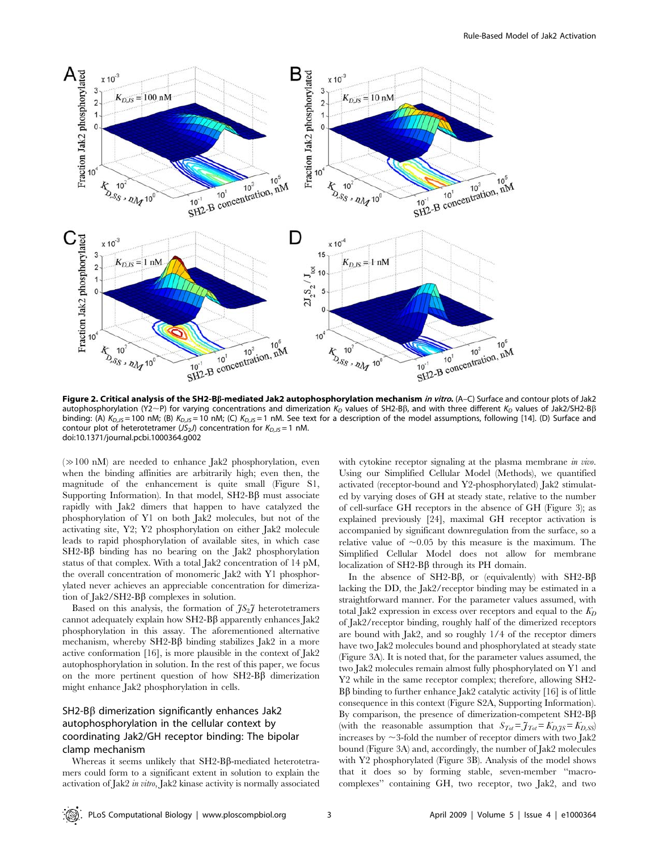

Figure 2. Critical analysis of the SH2-Bß-mediated Jak2 autophosphorylation mechanism in vitro. (A-C) Surface and contour plots of Jak2 autophosphorylation (Y2~P) for varying concentrations and dimerization K<sub>D</sub> values of SH2-BB, and with three different K<sub>D</sub> values of Jak2/SH2-BB binding: (A)  $K_{D,15}$  = 100 nM; (B)  $K_{D,15}$  = 10 nM; (C)  $K_{D,15}$  = 1 nM. See text for a description of the model assumptions, following [14]. (D) Surface and contour plot of heterotetramer ( $JS_2J$ ) concentration for  $K_{D,JS} = 1$  nM. doi:10.1371/journal.pcbi.1000364.g002

(*&*100 nM) are needed to enhance Jak2 phosphorylation, even when the binding affinities are arbitrarily high; even then, the magnitude of the enhancement is quite small (Figure S1, Supporting Information). In that model,  $SH2-B\beta$  must associate rapidly with Jak2 dimers that happen to have catalyzed the phosphorylation of Y1 on both Jak2 molecules, but not of the activating site, Y2; Y2 phosphorylation on either Jak2 molecule leads to rapid phosphorylation of available sites, in which case SH2-Bb binding has no bearing on the Jak2 phosphorylation status of that complex. With a total Jak2 concentration of 14 pM, the overall concentration of monomeric Jak2 with Y1 phosphorylated never achieves an appreciable concentration for dimerization of Jak2/SH2-B $\beta$  complexes in solution.

Based on this analysis, the formation of  $\tilde{j}S_2\tilde{j}$  heterotetramers cannot adequately explain how  $SH2-B\beta$  apparently enhances Jak2 phosphorylation in this assay. The aforementioned alternative mechanism, whereby  $SH2-B\beta$  binding stabilizes Jak2 in a more active conformation [16], is more plausible in the context of Jak2 autophosphorylation in solution. In the rest of this paper, we focus on the more pertinent question of how  $SH2-B\beta$  dimerization might enhance Jak2 phosphorylation in cells.

# $SH2-B\beta$  dimerization significantly enhances Jak2 autophosphorylation in the cellular context by coordinating Jak2/GH receptor binding: The bipolar clamp mechanism

Whereas it seems unlikely that SH2-Bß-mediated heterotetramers could form to a significant extent in solution to explain the activation of Jak2 in vitro, Jak2 kinase activity is normally associated with cytokine receptor signaling at the plasma membrane in vivo. Using our Simplified Cellular Model (Methods), we quantified activated (receptor-bound and Y2-phosphorylated) Jak2 stimulated by varying doses of GH at steady state, relative to the number of cell-surface GH receptors in the absence of GH (Figure 3); as explained previously [24], maximal GH receptor activation is accompanied by significant downregulation from the surface, so a relative value of  $\sim 0.05$  by this measure is the maximum. The Simplified Cellular Model does not allow for membrane localization of SH2-Bb through its PH domain.

In the absence of SH2-B $\beta$ , or (equivalently) with SH2-B $\beta$ lacking the DD, the Jak2/receptor binding may be estimated in a straightforward manner. For the parameter values assumed, with total Jak2 expression in excess over receptors and equal to the  $K_D$ of Jak2/receptor binding, roughly half of the dimerized receptors are bound with Jak2, and so roughly 1/4 of the receptor dimers have two Jak2 molecules bound and phosphorylated at steady state (Figure 3A). It is noted that, for the parameter values assumed, the two Jak2 molecules remain almost fully phosphorylated on Y1 and Y2 while in the same receptor complex; therefore, allowing SH2-  $B\beta$  binding to further enhance Jak2 catalytic activity [16] is of little consequence in this context (Figure S2A, Supporting Information). By comparison, the presence of dimerization-competent  $SH2-B\beta$ (with the reasonable assumption that  $S_{Tot} = \mathcal{J}_{Tot} = K_{D,5S} = K_{D,SS}$ ) increases by  $\sim$  3-fold the number of receptor dimers with two Jak2 bound (Figure 3A) and, accordingly, the number of Jak2 molecules with Y2 phosphorylated (Figure 3B). Analysis of the model shows that it does so by forming stable, seven-member ''macrocomplexes'' containing GH, two receptor, two Jak2, and two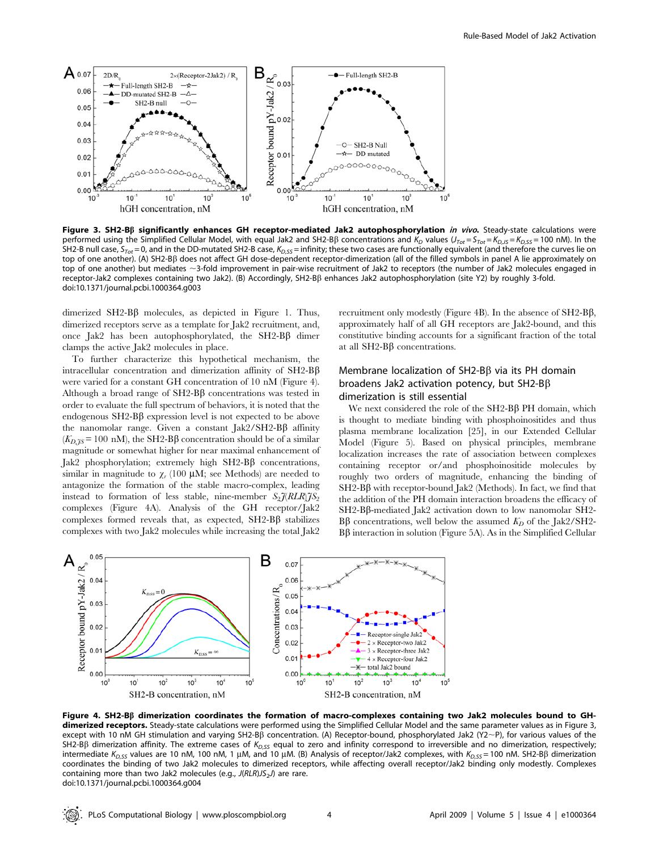

Figure 3. SH2-Bß significantly enhances GH receptor-mediated Jak2 autophosphorylation in vivo. Steady-state calculations were performed using the Simplified Cellular Model, with equal Jak2 and SH2-B $\beta$  concentrations and  $K_D$  values  $U_{Tot} = S_{Tot} = K_{D,S} = 100$  nM). In the SH2-B null case,  $S_{Tot} = 0$ , and in the DD-mutated SH2-B case,  $K_{D,SS} =$  infinity; these two cases are functionally equivalent (and therefore the curves lie on top of one another). (A) SH2-Bβ does not affect GH dose-dependent receptor-dimerization (all of the filled symbols in panel A lie approximately on top of one another) but mediates ~3-fold improvement in pair-wise recruitment of Jak2 to receptors (the number of Jak2 molecules engaged in receptor-Jak2 complexes containing two Jak2). (B) Accordingly, SH2-Bb enhances Jak2 autophosphorylation (site Y2) by roughly 3-fold. doi:10.1371/journal.pcbi.1000364.g003

dimerized  $SH2-B\beta$  molecules, as depicted in Figure 1. Thus, dimerized receptors serve as a template for Jak2 recruitment, and, once Jak2 has been autophosphorylated, the SH2-Bb dimer clamps the active Jak2 molecules in place.

To further characterize this hypothetical mechanism, the intracellular concentration and dimerization affinity of SH2-Bb were varied for a constant GH concentration of 10 nM (Figure 4). Although a broad range of  $SH2-B\beta$  concentrations was tested in order to evaluate the full spectrum of behaviors, it is noted that the endogenous  $SH2-B\beta$  expression level is not expected to be above the nanomolar range. Given a constant  $\text{Jak2/SH2-B}\beta$  affinity  $(K<sub>D.75</sub>= 100$  nM), the SH2-B $\beta$  concentration should be of a similar magnitude or somewhat higher for near maximal enhancement of  $\text{Jak2}$  phosphorylation; extremely high SH2-B $\beta$  concentrations, similar in magnitude to  $\chi_r$  (100  $\mu$ M; see Methods) are needed to antagonize the formation of the stable macro-complex, leading instead to formation of less stable, nine-member  $S_2 \tilde{\jmath} (RLR) \tilde{\jmath} S_2$ complexes (Figure 4A). Analysis of the GH receptor/Jak2 complexes formed reveals that, as expected,  $SH2-B\beta$  stabilizes complexes with two Jak2 molecules while increasing the total Jak2

recruitment only modestly (Figure 4B). In the absence of SH2-Bb, approximately half of all GH receptors are Jak2-bound, and this constitutive binding accounts for a significant fraction of the total at all SH2-B $\beta$  concentrations.

# Membrane localization of SH2-B<sub>B</sub> via its PH domain broadens Jak2 activation potency, but SH2-Bb dimerization is still essential

We next considered the role of the SH2-BB PH domain, which is thought to mediate binding with phosphoinositides and thus plasma membrane localization [25], in our Extended Cellular Model (Figure 5). Based on physical principles, membrane localization increases the rate of association between complexes containing receptor or/and phosphoinositide molecules by roughly two orders of magnitude, enhancing the binding of  $SH2-B\beta$  with receptor-bound Jak2 (Methods). In fact, we find that the addition of the PH domain interaction broadens the efficacy of SH<sub>2</sub>-Bβ-mediated Jak<sub>2</sub> activation down to low nanomolar SH<sub>2</sub>- $B\beta$  concentrations, well below the assumed  $K_D$  of the Jak2/SH2- $B\beta$  interaction in solution (Figure 5A). As in the Simplified Cellular



Figure 4. SH2-Bb dimerization coordinates the formation of macro-complexes containing two Jak2 molecules bound to GHdimerized receptors. Steady-state calculations were performed using the Simplified Cellular Model and the same parameter values as in Figure 3, except with 10 nM GH stimulation and varying SH2-B $\beta$  concentration. (A) Receptor-bound, phosphorylated Jak2 (Y2~P), for various values of the SH2-B $\beta$  dimerization affinity. The extreme cases of  $K_{D,SS}$  equal to zero and infinity correspond to irreversible and no dimerization, respectively; intermediate K<sub>D,SS</sub> values are 10 nM, 100 nM, 1 µM, and 10 µM. (B) Analysis of receptor/Jak2 complexes, with K<sub>D,SS</sub> = 100 nM. SH2-Bß dimerization coordinates the binding of two Jak2 molecules to dimerized receptors, while affecting overall receptor/Jak2 binding only modestly. Complexes containing more than two Jak2 molecules (e.g.,  $J(RLR)JS<sub>2</sub>J$ ) are rare. doi:10.1371/journal.pcbi.1000364.g004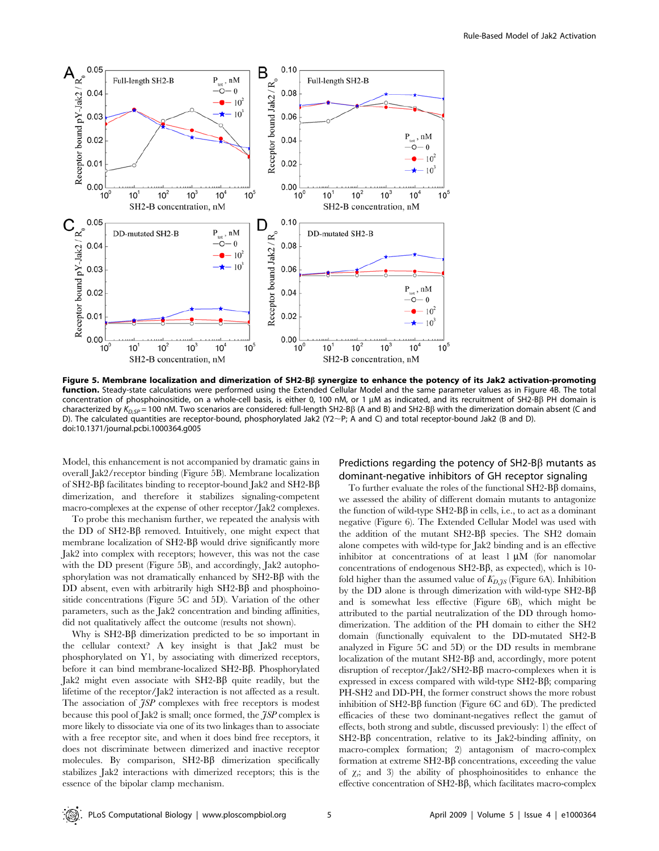

Figure 5. Membrane localization and dimerization of SH2-Bb synergize to enhance the potency of its Jak2 activation-promoting function. Steady-state calculations were performed using the Extended Cellular Model and the same parameter values as in Figure 4B. The total concentration of phosphoinositide, on a whole-cell basis, is either 0, 100 nM, or 1  $\mu$ M as indicated, and its recruitment of SH2-B $\beta$  PH domain is characterized by K<sub>D,SP</sub> = 100 nM. Two scenarios are considered: full-length SH2-B $\beta$  (A and B) and SH2-B $\beta$  with the dimerization domain absent (C and D). The calculated quantities are receptor-bound, phosphorylated Jak2 (Y2~P; A and C) and total receptor-bound Jak2 (B and D). doi:10.1371/journal.pcbi.1000364.g005

Model, this enhancement is not accompanied by dramatic gains in overall Jak2/receptor binding (Figure 5B). Membrane localization of SH2-Bb facilitates binding to receptor-bound Jak2 and SH2-Bb dimerization, and therefore it stabilizes signaling-competent macro-complexes at the expense of other receptor/Jak2 complexes.

To probe this mechanism further, we repeated the analysis with the DD of SH2-Bb removed. Intuitively, one might expect that membrane localization of SH2-B<sub>B</sub> would drive significantly more Jak2 into complex with receptors; however, this was not the case with the DD present (Figure 5B), and accordingly, Jak2 autophosphorylation was not dramatically enhanced by  $SH2-B\beta$  with the DD absent, even with arbitrarily high  $SH2-B\beta$  and phosphoinositide concentrations (Figure 5C and 5D). Variation of the other parameters, such as the Jak2 concentration and binding affinities, did not qualitatively affect the outcome (results not shown).

Why is  $SH2-B\beta$  dimerization predicted to be so important in the cellular context? A key insight is that Jak2 must be phosphorylated on Y1, by associating with dimerized receptors, before it can bind membrane-localized SH2-Bß. Phosphorylated  $Jak2$  might even associate with  $SH2-B\beta$  quite readily, but the lifetime of the receptor/Jak2 interaction is not affected as a result. The association of  $\tilde{\jmath}$ SP complexes with free receptors is modest because this pool of Jak2 is small; once formed, the  $\tilde{\jmath}$ SP complex is more likely to dissociate via one of its two linkages than to associate with a free receptor site, and when it does bind free receptors, it does not discriminate between dimerized and inactive receptor molecules. By comparison,  $SH2-B\beta$  dimerization specifically stabilizes Jak2 interactions with dimerized receptors; this is the essence of the bipolar clamp mechanism.

# Predictions regarding the potency of  $SH2-B\beta$  mutants as dominant-negative inhibitors of GH receptor signaling

To further evaluate the roles of the functional  $SH2-B\beta$  domains, we assessed the ability of different domain mutants to antagonize the function of wild-type  $SH2-B\beta$  in cells, i.e., to act as a dominant negative (Figure 6). The Extended Cellular Model was used with the addition of the mutant SH2-Bb species. The SH2 domain alone competes with wild-type for Jak2 binding and is an effective inhibitor at concentrations of at least  $1 \mu M$  (for nanomolar concentrations of endogenous SH2-B $\beta$ , as expected), which is 10fold higher than the assumed value of  $K_{D,7S}$  (Figure 6A). Inhibition by the DD alone is through dimerization with wild-type SH2-B $\beta$ and is somewhat less effective (Figure 6B), which might be attributed to the partial neutralization of the DD through homodimerization. The addition of the PH domain to either the SH2 domain (functionally equivalent to the DD-mutated SH2-B analyzed in Figure 5C and 5D) or the DD results in membrane localization of the mutant SH2-Bb and, accordingly, more potent disruption of receptor/Jak2/SH2-Bβ macro-complexes when it is expressed in excess compared with wild-type  $SH2-B\beta$ ; comparing PH-SH2 and DD-PH, the former construct shows the more robust inhibition of  $SH2-B\beta$  function (Figure 6C and 6D). The predicted efficacies of these two dominant-negatives reflect the gamut of effects, both strong and subtle, discussed previously: 1) the effect of SH2-B<sub>B</sub> concentration, relative to its Jak2-binding affinity, on macro-complex formation; 2) antagonism of macro-complex formation at extreme  $SH2-B\beta$  concentrations, exceeding the value of  $\chi$ <sub>i</sub> and 3) the ability of phosphoinositides to enhance the effective concentration of SH2-Bβ, which facilitates macro-complex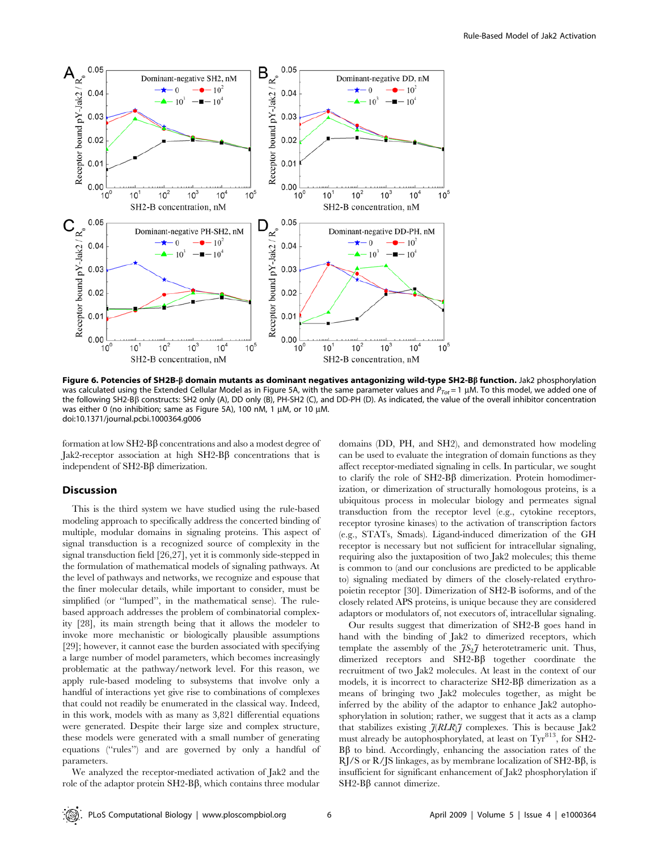

Figure 6. Potencies of SH2B-B domain mutants as dominant negatives antagonizing wild-type SH2-BB function. Jak2 phosphorylation was calculated using the Extended Cellular Model as in Figure 5A, with the same parameter values and  $P_{Tot} = 1 \mu M$ . To this model, we added one of the following SH2-BB constructs: SH2 only (A), DD only (B), PH-SH2 (C), and DD-PH (D). As indicated, the value of the overall inhibitor concentration was either 0 (no inhibition; same as Figure 5A), 100 nM, 1  $\mu$ M, or 10  $\mu$ M. doi:10.1371/journal.pcbi.1000364.g006

formation at low  $SH2-B\beta$  concentrations and also a modest degree of  $Jak2-receptor$  association at high  $SH2-B\beta$  concentrations that is independent of  $SH2-B\beta$  dimerization.

## Discussion

This is the third system we have studied using the rule-based modeling approach to specifically address the concerted binding of multiple, modular domains in signaling proteins. This aspect of signal transduction is a recognized source of complexity in the signal transduction field [26,27], yet it is commonly side-stepped in the formulation of mathematical models of signaling pathways. At the level of pathways and networks, we recognize and espouse that the finer molecular details, while important to consider, must be simplified (or "lumped", in the mathematical sense). The rulebased approach addresses the problem of combinatorial complexity [28], its main strength being that it allows the modeler to invoke more mechanistic or biologically plausible assumptions [29]; however, it cannot ease the burden associated with specifying a large number of model parameters, which becomes increasingly problematic at the pathway/network level. For this reason, we apply rule-based modeling to subsystems that involve only a handful of interactions yet give rise to combinations of complexes that could not readily be enumerated in the classical way. Indeed, in this work, models with as many as 3,821 differential equations were generated. Despite their large size and complex structure, these models were generated with a small number of generating equations (''rules'') and are governed by only a handful of parameters.

We analyzed the receptor-mediated activation of Jak2 and the role of the adaptor protein SH2-Bb, which contains three modular

domains (DD, PH, and SH2), and demonstrated how modeling can be used to evaluate the integration of domain functions as they affect receptor-mediated signaling in cells. In particular, we sought to clarify the role of  $SH2-B\beta$  dimerization. Protein homodimerization, or dimerization of structurally homologous proteins, is a ubiquitous process in molecular biology and permeates signal transduction from the receptor level (e.g., cytokine receptors, receptor tyrosine kinases) to the activation of transcription factors (e.g., STATs, Smads). Ligand-induced dimerization of the GH receptor is necessary but not sufficient for intracellular signaling, requiring also the juxtaposition of two Jak2 molecules; this theme is common to (and our conclusions are predicted to be applicable to) signaling mediated by dimers of the closely-related erythropoietin receptor [30]. Dimerization of SH2-B isoforms, and of the closely related APS proteins, is unique because they are considered adaptors or modulators of, not executors of, intracellular signaling.

Our results suggest that dimerization of SH2-B goes hand in hand with the binding of Jak2 to dimerized receptors, which template the assembly of the  $fS_2\tilde{f}$  heterotetrameric unit. Thus, dimerized receptors and SH2-B $\beta$  together coordinate the recruitment of two Jak2 molecules. At least in the context of our models, it is incorrect to characterize  $SH2-B\beta$  dimerization as a means of bringing two Jak2 molecules together, as might be inferred by the ability of the adaptor to enhance Jak2 autophosphorylation in solution; rather, we suggest that it acts as a clamp that stabilizes existing  $\tilde{\jmath}(RLR)\tilde{\jmath}$  complexes. This is because Jak2 must already be autophosphorylated, at least on  $Ty^{813}$ , for SH2- $B\beta$  to bind. Accordingly, enhancing the association rates of the  $RJ/S$  or  $R/JS$  linkages, as by membrane localization of  $SH2-B\beta$ , is insufficient for significant enhancement of Jak2 phosphorylation if SH<sub>2</sub>-Bβ cannot dimerize.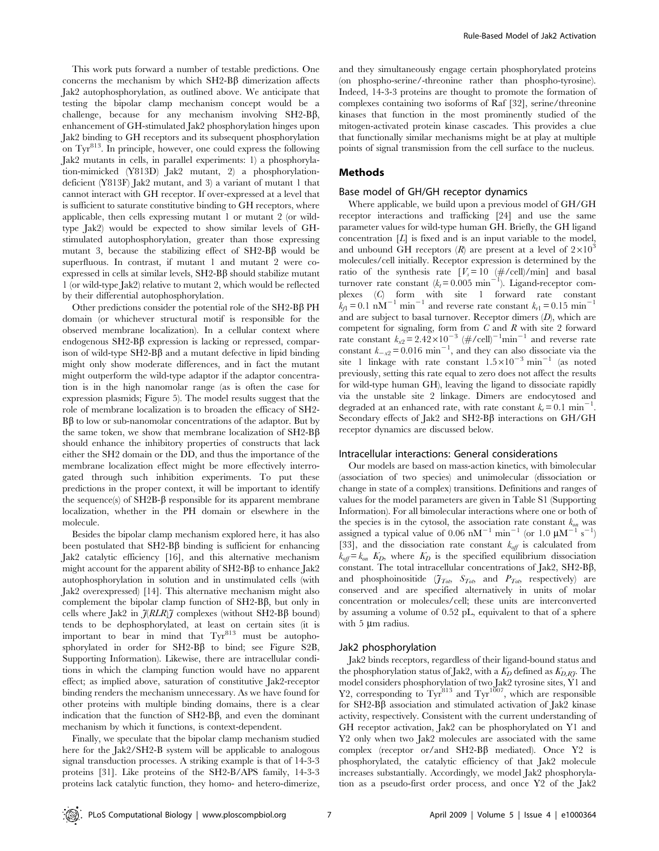This work puts forward a number of testable predictions. One concerns the mechanism by which  $SH2-B\beta$  dimerization affects Jak2 autophosphorylation, as outlined above. We anticipate that testing the bipolar clamp mechanism concept would be a challenge, because for any mechanism involving SH2-Bb, enhancement of GH-stimulated Jak2 phosphorylation hinges upon Jak2 binding to GH receptors and its subsequent phosphorylation on Tyr813. In principle, however, one could express the following Jak2 mutants in cells, in parallel experiments: 1) a phosphorylation-mimicked (Y813D) Jak2 mutant, 2) a phosphorylationdeficient (Y813F) Jak2 mutant, and 3) a variant of mutant 1 that cannot interact with GH receptor. If over-expressed at a level that is sufficient to saturate constitutive binding to GH receptors, where applicable, then cells expressing mutant 1 or mutant 2 (or wildtype Jak2) would be expected to show similar levels of GHstimulated autophosphorylation, greater than those expressing mutant 3, because the stabilizing effect of  $SH2-B\beta$  would be superfluous. In contrast, if mutant 1 and mutant 2 were coexpressed in cells at similar levels,  $SH2-B\beta$  should stabilize mutant 1 (or wild-type Jak2) relative to mutant 2, which would be reflected by their differential autophosphorylation.

Other predictions consider the potential role of the SH2-B $\beta$  PH domain (or whichever structural motif is responsible for the observed membrane localization). In a cellular context where endogenous SH2-Bb expression is lacking or repressed, comparison of wild-type SH2-B $\beta$  and a mutant defective in lipid binding might only show moderate differences, and in fact the mutant might outperform the wild-type adaptor if the adaptor concentration is in the high nanomolar range (as is often the case for expression plasmids; Figure 5). The model results suggest that the role of membrane localization is to broaden the efficacy of SH2-  $B\beta$  to low or sub-nanomolar concentrations of the adaptor. But by the same token, we show that membrane localization of  $SH2-B\beta$ should enhance the inhibitory properties of constructs that lack either the SH2 domain or the DD, and thus the importance of the membrane localization effect might be more effectively interrogated through such inhibition experiments. To put these predictions in the proper context, it will be important to identify the sequence(s) of  $SH2B-\beta$  responsible for its apparent membrane localization, whether in the PH domain or elsewhere in the molecule.

Besides the bipolar clamp mechanism explored here, it has also been postulated that  $SH2-B\beta$  binding is sufficient for enhancing Jak2 catalytic efficiency [16], and this alternative mechanism might account for the apparent ability of  $SH2-B\beta$  to enhance Jak2 autophosphorylation in solution and in unstimulated cells (with Jak2 overexpressed) [14]. This alternative mechanism might also complement the bipolar clamp function of  $SH2-B\beta$ , but only in cells where Jak2 in  $\tilde{\jmath}(RLR)\tilde{\jmath}$  complexes (without SH2-B $\beta$  bound) tends to be dephosphorylated, at least on certain sites (it is important to bear in mind that  $Tyr^{813}$  must be autophosphorylated in order for  $SH2-B\beta$  to bind; see Figure S2B, Supporting Information). Likewise, there are intracellular conditions in which the clamping function would have no apparent effect; as implied above, saturation of constitutive Jak2-receptor binding renders the mechanism unnecessary. As we have found for other proteins with multiple binding domains, there is a clear indication that the function of SH2-Bb, and even the dominant mechanism by which it functions, is context-dependent.

Finally, we speculate that the bipolar clamp mechanism studied here for the Jak2/SH2-B system will be applicable to analogous signal transduction processes. A striking example is that of 14-3-3 proteins [31]. Like proteins of the SH2-B/APS family, 14-3-3 proteins lack catalytic function, they homo- and hetero-dimerize,

and they simultaneously engage certain phosphorylated proteins (on phospho-serine/-threonine rather than phospho-tyrosine). Indeed, 14-3-3 proteins are thought to promote the formation of complexes containing two isoforms of Raf [32], serine/threonine kinases that function in the most prominently studied of the mitogen-activated protein kinase cascades. This provides a clue that functionally similar mechanisms might be at play at multiple points of signal transmission from the cell surface to the nucleus.

## Methods

## Base model of GH/GH receptor dynamics

Where applicable, we build upon a previous model of GH/GH receptor interactions and trafficking [24] and use the same parameter values for wild-type human GH. Briefly, the GH ligand concentration [L] is fixed and is an input variable to the model, and unbound GH receptors  $(R)$  are present at a level of  $2\times10^{3}$ molecules/cell initially. Receptor expression is determined by the ratio of the synthesis rate  $[V_s=10 \ (\#/cell)/min]$  and basal turnover rate constant  $(k_t = 0.005 \text{ min}^{-1})$ . Ligand-receptor complexes (C) form with site 1 forward rate constant  $k_{f1} = 0.1 \text{ nM}^{-1} \text{ min}^{-1}$  and reverse rate constant  $k_{r1} = 0.15 \text{ min}^{-1}$ and are subject to basal turnover. Receptor dimers  $(D)$ , which are competent for signaling, form from  $C$  and  $R$  with site 2 forward rate constant  $k_{x2} = 2.42 \times 10^{-3}$  (#/cell)<sup>-1</sup>min<sup>-1</sup> and reverse rate constant  $k_{-x2} = 0.016$  min<sup>-1</sup>, and they can also dissociate via the site 1 linkage with rate constant  $1.5 \times 10^{-3}$  min<sup>-1</sup> (as noted previously, setting this rate equal to zero does not affect the results for wild-type human GH), leaving the ligand to dissociate rapidly via the unstable site 2 linkage. Dimers are endocytosed and degraded at an enhanced rate, with rate constant  $k_e = 0.1$  min<sup>-1</sup> . Secondary effects of Jak2 and SH2-B $\beta$  interactions on GH/GH receptor dynamics are discussed below.

#### Intracellular interactions: General considerations

Our models are based on mass-action kinetics, with bimolecular (association of two species) and unimolecular (dissociation or change in state of a complex) transitions. Definitions and ranges of values for the model parameters are given in Table S1 (Supporting Information). For all bimolecular interactions where one or both of the species is in the cytosol, the association rate constant  $k_{on}$  was assigned a typical value of 0.06  $nM^{-1}$  min<sup>-1</sup> (or 1.0  $\mu$ M<sup>-1</sup> s<sup>-1</sup>) [33], and the dissociation rate constant  $k_{\text{eff}}$  is calculated from  $k_{off}= k_{on} K_D$ , where  $K_D$  is the specified equilibrium dissociation constant. The total intracellular concentrations of Jak2, SH2-B $\beta$ , and phosphoinositide  $(\mathcal{J}_{Tot}, S_{Tot}, \text{and } P_{Tot}, \text{respectively})$  are conserved and are specified alternatively in units of molar concentration or molecules/cell; these units are interconverted by assuming a volume of 0.52 pL, equivalent to that of a sphere with  $5 \mu m$  radius.

#### Jak2 phosphorylation

Jak2 binds receptors, regardless of their ligand-bound status and the phosphorylation status of Jak2, with a  $K_D$  defined as  $K_{D,R}$ . The model considers phosphorylation of two Jak2 tyrosine sites, Y1 and Y2, corresponding to Tyr $^{813}$  and Tyr $^{1007}$ , which are responsible for  $SH2-B\beta$  association and stimulated activation of Jak2 kinase activity, respectively. Consistent with the current understanding of GH receptor activation, Jak2 can be phosphorylated on Y1 and Y2 only when two Jak2 molecules are associated with the same complex (receptor or/and  $SH2-B\beta$  mediated). Once Y2 is phosphorylated, the catalytic efficiency of that Jak2 molecule increases substantially. Accordingly, we model Jak2 phosphorylation as a pseudo-first order process, and once Y2 of the Jak2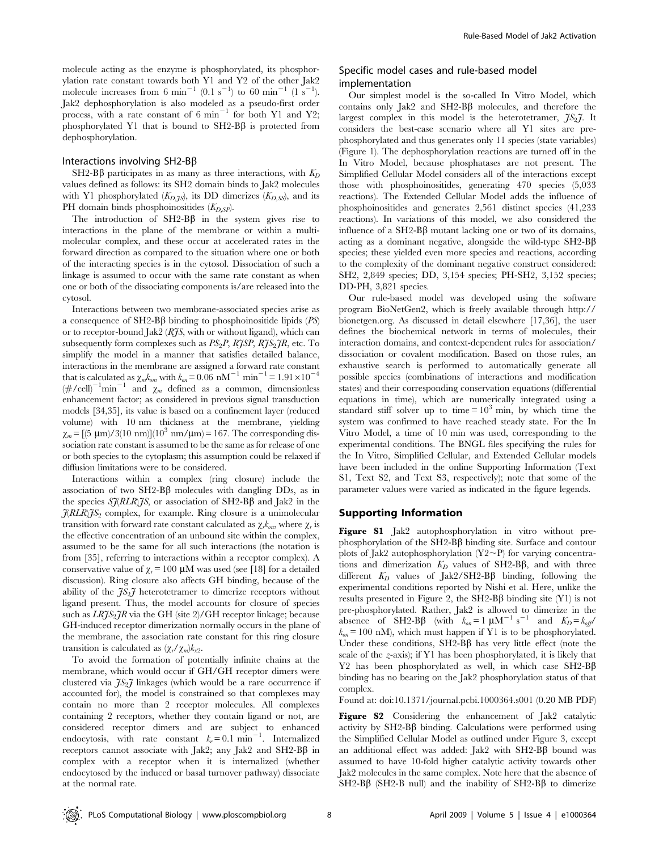molecule acting as the enzyme is phosphorylated, its phosphorylation rate constant towards both Y1 and Y2 of the other Jak2 molecule increases from 6 min<sup>-1</sup> (0.1 s<sup>-1</sup>) to 60 min<sup>-1</sup> (1 s<sup>-1</sup>). Jak2 dephosphorylation is also modeled as a pseudo-first order process, with a rate constant of  $6 \text{ min}^{-1}$  for both Y1 and Y2; phosphorylated Y1 that is bound to  $SH2-B\beta$  is protected from dephosphorylation.

#### Interactions involving SH2-Bb

SH2-B $\beta$  participates in as many as three interactions, with  $K_D$ values defined as follows: its SH2 domain binds to Jak2 molecules with Y1 phosphorylated  $(K_{D,7S})$ , its DD dimerizes  $(K_{D,SS})$ , and its PH domain binds phosphoinositides  $(K_{D,SP})$ .

The introduction of SH2-B<sub>B</sub> in the system gives rise to interactions in the plane of the membrane or within a multimolecular complex, and these occur at accelerated rates in the forward direction as compared to the situation where one or both of the interacting species is in the cytosol. Dissociation of such a linkage is assumed to occur with the same rate constant as when one or both of the dissociating components is/are released into the cytosol.

Interactions between two membrane-associated species arise as a consequence of  $SH2-B\beta$  binding to phosphoinositide lipids (PS) or to receptor-bound Jak2  $(R7S,$  with or without ligand), which can subsequently form complexes such as  $PS_2P$ ,  $R\tilde{T}SP$ ,  $R\tilde{T}S_2\tilde{T}R$ , etc. To simplify the model in a manner that satisfies detailed balance, interactions in the membrane are assigned a forward rate constant that is calculated as  $\chi_{m}k_{on}$ , with  $k_{on}= 0.06 \text{ nM}^{-1} \text{ min}^{-1}= 1.91\times10^{-4}$  $(\#/\text{cell})^{-1}$ min<sup>-1</sup> and  $\chi_m$  defined as a common, dimensionless enhancement factor; as considered in previous signal transduction models [34,35], its value is based on a confinement layer (reduced volume) with 10 nm thickness at the membrane, yielding  $\chi_m = [(5 \text{ }\mu\text{m})/3(10 \text{ }\text{nm})](10^3 \text{ }\text{nm}/\text{ }\mu\text{m}) = 167$ . The corresponding dissociation rate constant is assumed to be the same as for release of one or both species to the cytoplasm; this assumption could be relaxed if diffusion limitations were to be considered.

Interactions within a complex (ring closure) include the association of two  $SH2-B\beta$  molecules with dangling DDs, as in the species  $S\mathcal{H} (RLR)\mathcal{H} S$ , or association of SH2-B $\beta$  and Jak2 in the  $\mathcal{J}(RLR)\mathcal{J}S_2$  complex, for example. Ring closure is a unimolecular transition with forward rate constant calculated as  $\chi_r k_{on}$ , where  $\chi_r$  is the effective concentration of an unbound site within the complex, assumed to be the same for all such interactions (the notation is from [35], referring to interactions within a receptor complex). A conservative value of  $\chi_r = 100 \mu M$  was used (see [18] for a detailed discussion). Ring closure also affects GH binding, because of the ability of the  $fS_2\tilde{f}$  heterotetramer to dimerize receptors without ligand present. Thus, the model accounts for closure of species such as  $LR\tilde{f}S_2\tilde{f}R$  via the GH (site 2)/GH receptor linkage; because GH-induced receptor dimerization normally occurs in the plane of the membrane, the association rate constant for this ring closure transition is calculated as  $(\chi_r/\chi_m)k_{x2}$ .

To avoid the formation of potentially infinite chains at the membrane, which would occur if GH/GH receptor dimers were clustered via  $75.7$  linkages (which would be a rare occurrence if accounted for), the model is constrained so that complexes may contain no more than 2 receptor molecules. All complexes containing 2 receptors, whether they contain ligand or not, are considered receptor dimers and are subject to enhanced endocytosis, with rate constant  $k_e = 0.1 \text{ min}^{-1}$ . Internalized receptors cannot associate with Jak2; any Jak2 and  $SH2-B\beta$  in complex with a receptor when it is internalized (whether endocytosed by the induced or basal turnover pathway) dissociate at the normal rate.

# Specific model cases and rule-based model implementation

Our simplest model is the so-called In Vitro Model, which contains only Jak2 and  $SH2-B\beta$  molecules, and therefore the largest complex in this model is the heterotetramer,  $fS_2\tilde{f}$ . It considers the best-case scenario where all Y1 sites are prephosphorylated and thus generates only 11 species (state variables) (Figure 1). The dephosphorylation reactions are turned off in the In Vitro Model, because phosphatases are not present. The Simplified Cellular Model considers all of the interactions except those with phosphoinositides, generating 470 species (5,033 reactions). The Extended Cellular Model adds the influence of phosphoinositides and generates 2,561 distinct species (41,233 reactions). In variations of this model, we also considered the influence of a  $SH2-B\beta$  mutant lacking one or two of its domains, acting as a dominant negative, alongside the wild-type SH2-Bb species; these yielded even more species and reactions, according to the complexity of the dominant negative construct considered: SH2, 2,849 species; DD, 3,154 species; PH-SH2, 3,152 species; DD-PH, 3,821 species.

Our rule-based model was developed using the software program BioNetGen2, which is freely available through http:// bionetgen.org. As discussed in detail elsewhere [17,36], the user defines the biochemical network in terms of molecules, their interaction domains, and context-dependent rules for association/ dissociation or covalent modification. Based on those rules, an exhaustive search is performed to automatically generate all possible species (combinations of interactions and modification states) and their corresponding conservation equations (differential equations in time), which are numerically integrated using a standard stiff solver up to time  $= 10<sup>3</sup>$  min, by which time the system was confirmed to have reached steady state. For the In Vitro Model, a time of 10 min was used, corresponding to the experimental conditions. The BNGL files specifying the rules for the In Vitro, Simplified Cellular, and Extended Cellular models have been included in the online Supporting Information (Text S1, Text S2, and Text S3, respectively); note that some of the parameter values were varied as indicated in the figure legends.

#### Supporting Information

Figure S1 Jak2 autophosphorylation in vitro without prephosphorylation of the SH2-Bb binding site. Surface and contour plots of Jak2 autophosphorylation  $(Y2 \sim P)$  for varying concentrations and dimerization  $K_D$  values of SH2-B $\beta$ , and with three different  $K_D$  values of Jak2/SH2-B $\beta$  binding, following the experimental conditions reported by Nishi et al. Here, unlike the results presented in Figure 2, the  $SH2-B\beta$  binding site  $(Y1)$  is not pre-phosphorylated. Rather, Jak2 is allowed to dimerize in the absence of SH2-B $\beta$  (with  $k_{on} = 1 \mu M^{-1} s^{-1}$  and  $K_D = k_{off}$  $k_{on}$  = 100 nM), which must happen if Y1 is to be phosphorylated. Under these conditions,  $SH2-B\beta$  has very little effect (note the scale of the z-axis); if Y1 has been phosphorylated, it is likely that Y2 has been phosphorylated as well, in which case SH2-B $\beta$ binding has no bearing on the Jak2 phosphorylation status of that complex.

Found at: doi:10.1371/journal.pcbi.1000364.s001 (0.20 MB PDF)

Figure S2 Considering the enhancement of Jak2 catalytic activity by  $SH2-B\beta$  binding. Calculations were performed using the Simplified Cellular Model as outlined under Figure 3, except an additional effect was added:  $Jak2$  with  $SH2-B\beta$  bound was assumed to have 10-fold higher catalytic activity towards other Jak2 molecules in the same complex. Note here that the absence of  $SH2-B\beta$  (SH2-B null) and the inability of SH2-B $\beta$  to dimerize